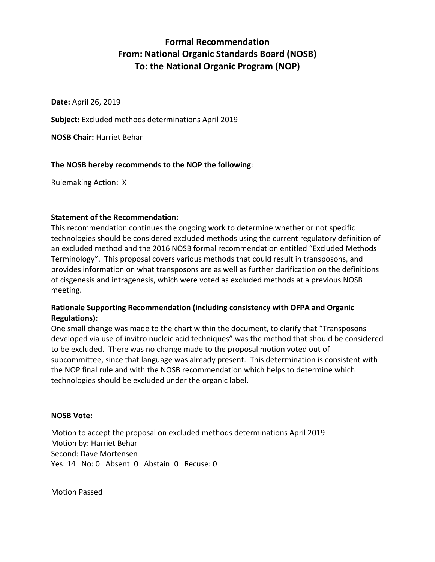# **Formal Recommendation From: National Organic Standards Board (NOSB) To: the National Organic Program (NOP)**

**Date:** April 26, 2019

**Subject:** Excluded methods determinations April 2019

**NOSB Chair:** Harriet Behar

### **The NOSB hereby recommends to the NOP the following**:

Rulemaking Action: X

#### **Statement of the Recommendation:**

This recommendation continues the ongoing work to determine whether or not specific technologies should be considered excluded methods using the current regulatory definition of an excluded method and the 2016 NOSB formal recommendation entitled "Excluded Methods Terminology". This proposal covers various methods that could result in transposons, and provides information on what transposons are as well as further clarification on the definitions of cisgenesis and intragenesis, which were voted as excluded methods at a previous NOSB meeting.

## **Rationale Supporting Recommendation (including consistency with OFPA and Organic Regulations):**

One small change was made to the chart within the document, to clarify that "Transposons developed via use of invitro nucleic acid techniques" was the method that should be considered to be excluded. There was no change made to the proposal motion voted out of subcommittee, since that language was already present. This determination is consistent with the NOP final rule and with the NOSB recommendation which helps to determine which technologies should be excluded under the organic label.

#### **NOSB Vote:**

Motion to accept the proposal on excluded methods determinations April 2019 Motion by: Harriet Behar Second: Dave Mortensen Yes: 14 No: 0 Absent: 0 Abstain: 0 Recuse: 0

Motion Passed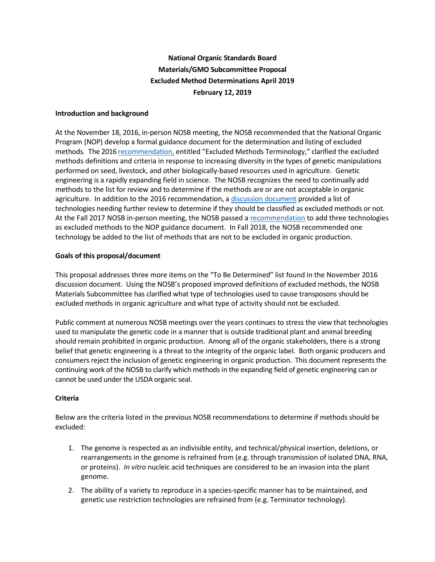## **National Organic Standards Board Materials/GMO Subcommittee Proposal Excluded Method Determinations April 2019 February 12, 2019**

#### **Introduction and background**

At the November 18, 2016, in-person NOSB meeting, the NOSB recommended that the National Organic Program (NOP) develop a formal guidance document for the determination and listing of excluded methods. The 201[6 recommendation,](https://www.ams.usda.gov/sites/default/files/media/MSExcludedMethods.pdf) entitled "Excluded Methods Terminology," clarified the excluded methods definitions and criteria in response to increasing diversity in the types of genetic manipulations performed on seed, livestock, and other biologically-based resources used in agriculture. Genetic engineering is a rapidly expanding field in science. The NOSB recognizes the need to continually add methods to the list for review and to determine if the methods are or are not acceptable in organic agriculture. In addition to the 2016 recommendation, a [discussion](https://www.ams.usda.gov/sites/default/files/media/MSExcludedMethodsDiscussionDocumentNov2016.pdf) document provided a list of technologies needing further review to determine if they should be classified as excluded methods or not. At the Fall 2017 NOSB in-person meeting, the NOSB passed a [recommendation](https://www.ams.usda.gov/sites/default/files/media/MSExcludedMethodsFinalRec.pdf) to add three technologies as excluded methods to the NOP guidance document. In Fall 2018, the NOSB recommended one technology be added to the list of methods that are not to be excluded in organic production.

#### **Goals of this proposal/document**

This proposal addresses three more items on the "To Be Determined" list found in the November 2016 discussion document. Using the NOSB's proposed improved definitions of excluded methods, the NOSB Materials Subcommittee has clarified what type of technologies used to cause transposons should be excluded methods in organic agriculture and what type of activity should not be excluded.

Public comment at numerous NOSB meetings over the years continues to stress the view that technologies used to manipulate the genetic code in a manner that is outside traditional plant and animal breeding should remain prohibited in organic production. Among all of the organic stakeholders, there is a strong belief that genetic engineering is a threat to the integrity of the organic label. Both organic producers and consumers reject the inclusion of genetic engineering in organic production. This document represents the continuing work of the NOSB to clarify which methods in the expanding field of genetic engineering can or cannot be used under the USDA organic seal.

#### **Criteria**

Below are the criteria listed in the previous NOSB recommendations to determine if methods should be excluded:

- 1. The genome is respected as an indivisible entity, and technical/physical insertion, deletions, or rearrangements in the genome is refrained from (e.g. through transmission of isolated DNA, RNA, or proteins). *In vitro* nucleic acid techniques are considered to be an invasion into the plant genome.
- 2. The ability of a variety to reproduce in a species-specific manner has to be maintained, and genetic use restriction technologies are refrained from (e.g. Terminator technology).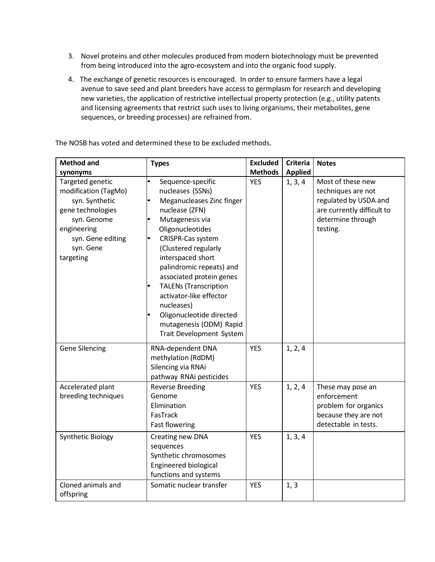- 3. Novel proteins and other molecules produced from modern biotechnology must be prevented from being introduced into the agro-ecosystem and into the organic food supply.
- 4. The exchange of genetic resources is encouraged. In order to ensure farmers have a legal avenue to save seed and plant breeders have access to germplasm for research and developing new varieties, the application of restrictive intellectual property protection (e.g., utility patents and licensing agreements that restrict such uses to living organisms, their metabolites, gene sequences, or breeding processes) are refrained from.

The NOSB has voted and determined these to be excluded methods.

| <b>Method and</b>                                                                                                                                            | <b>Types</b>                                                                                                                                                                                                                                                                                                                                                                                                      | <b>Excluded</b> | <b>Criteria</b> | <b>Notes</b>                                                                                                                    |
|--------------------------------------------------------------------------------------------------------------------------------------------------------------|-------------------------------------------------------------------------------------------------------------------------------------------------------------------------------------------------------------------------------------------------------------------------------------------------------------------------------------------------------------------------------------------------------------------|-----------------|-----------------|---------------------------------------------------------------------------------------------------------------------------------|
| synonyms                                                                                                                                                     |                                                                                                                                                                                                                                                                                                                                                                                                                   | <b>Methods</b>  | <b>Applied</b>  |                                                                                                                                 |
| Targeted genetic<br>modification (TagMo)<br>syn. Synthetic<br>gene technologies<br>syn. Genome<br>engineering<br>syn. Gene editing<br>syn. Gene<br>targeting | Sequence-specific<br>nucleases (SSNs)<br>Meganucleases Zinc finger<br>nuclease (ZFN)<br>Mutagenesis via<br>Oligonucleotides<br>CRISPR-Cas system<br>(Clustered regularly<br>interspaced short<br>palindromic repeats) and<br>associated protein genes<br><b>TALENs (Transcription</b><br>activator-like effector<br>nucleases)<br>Oligonucleotide directed<br>mutagenesis (ODM) Rapid<br>Trait Development System | <b>YES</b>      | 1, 3, 4         | Most of these new<br>techniques are not<br>regulated by USDA and<br>are currently difficult to<br>determine through<br>testing. |
| <b>Gene Silencing</b>                                                                                                                                        | RNA-dependent DNA<br>methylation (RdDM)<br>Silencing via RNAi<br>pathway RNAi pesticides                                                                                                                                                                                                                                                                                                                          | <b>YES</b>      | 1, 2, 4         |                                                                                                                                 |
| Accelerated plant<br>breeding techniques                                                                                                                     | <b>Reverse Breeding</b><br>Genome<br>Elimination<br>FasTrack<br><b>Fast flowering</b>                                                                                                                                                                                                                                                                                                                             | <b>YES</b>      | 1, 2, 4         | These may pose an<br>enforcement<br>problem for organics<br>because they are not<br>detectable in tests.                        |
| Synthetic Biology                                                                                                                                            | Creating new DNA<br>sequences<br>Synthetic chromosomes<br>Engineered biological<br>functions and systems                                                                                                                                                                                                                                                                                                          | <b>YES</b>      | 1, 3, 4         |                                                                                                                                 |
| Cloned animals and<br>offspring                                                                                                                              | Somatic nuclear transfer                                                                                                                                                                                                                                                                                                                                                                                          | <b>YES</b>      | 1, 3            |                                                                                                                                 |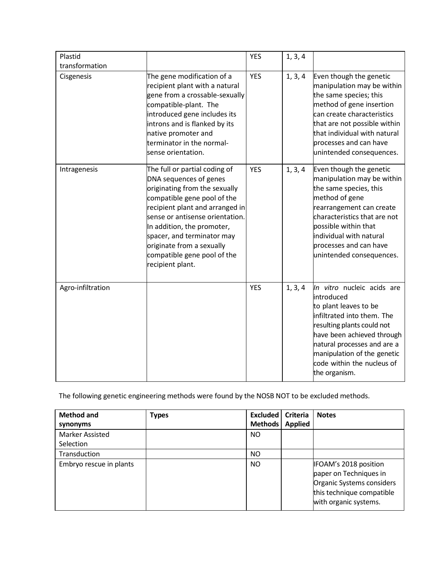| Plastid           |                                                                                                                                                                                                                                                                                                                                           | <b>YES</b> | 1, 3, 4 |                                                                                                                                                                                                                                                                          |
|-------------------|-------------------------------------------------------------------------------------------------------------------------------------------------------------------------------------------------------------------------------------------------------------------------------------------------------------------------------------------|------------|---------|--------------------------------------------------------------------------------------------------------------------------------------------------------------------------------------------------------------------------------------------------------------------------|
| transformation    |                                                                                                                                                                                                                                                                                                                                           |            |         |                                                                                                                                                                                                                                                                          |
| Cisgenesis        | The gene modification of a<br>recipient plant with a natural<br>gene from a crossable-sexually<br>compatible-plant. The<br>introduced gene includes its<br>introns and is flanked by its<br>native promoter and<br>terminator in the normal-<br>sense orientation.                                                                        | <b>YES</b> | 1, 3, 4 | Even though the genetic<br>manipulation may be within<br>the same species; this<br>method of gene insertion<br>can create characteristics<br>that are not possible within<br>that individual with natural<br>processes and can have<br>unintended consequences.          |
| Intragenesis      | The full or partial coding of<br>DNA sequences of genes<br>originating from the sexually<br>compatible gene pool of the<br>recipient plant and arranged in<br>sense or antisense orientation.<br>In addition, the promoter,<br>spacer, and terminator may<br>originate from a sexually<br>compatible gene pool of the<br>recipient plant. | <b>YES</b> | 1, 3, 4 | Even though the genetic<br>manipulation may be within<br>the same species, this<br>method of gene<br>rearrangement can create<br>characteristics that are not<br>possible within that<br>individual with natural<br>processes and can have<br>unintended consequences.   |
| Agro-infiltration |                                                                                                                                                                                                                                                                                                                                           | <b>YES</b> | 1, 3, 4 | In vitro nucleic acids are<br>introduced<br>to plant leaves to be<br>infiltrated into them. The<br>resulting plants could not<br>have been achieved through<br>natural processes and are a<br>manipulation of the genetic<br>code within the nucleus of<br>the organism. |

The following genetic engineering methods were found by the NOSB NOT to be excluded methods.

| <b>Method and</b><br>synonyms       | <b>Types</b> | Excluded  <br><b>Methods</b> | Criteria<br><b>Applied</b> | <b>Notes</b>                                                                                                                       |
|-------------------------------------|--------------|------------------------------|----------------------------|------------------------------------------------------------------------------------------------------------------------------------|
| <b>Marker Assisted</b><br>Selection |              | <b>NO</b>                    |                            |                                                                                                                                    |
| Transduction                        |              | <b>NO</b>                    |                            |                                                                                                                                    |
| Embryo rescue in plants             |              | NO                           |                            | IFOAM's 2018 position<br>paper on Techniques in<br>Organic Systems considers<br>this technique compatible<br>with organic systems. |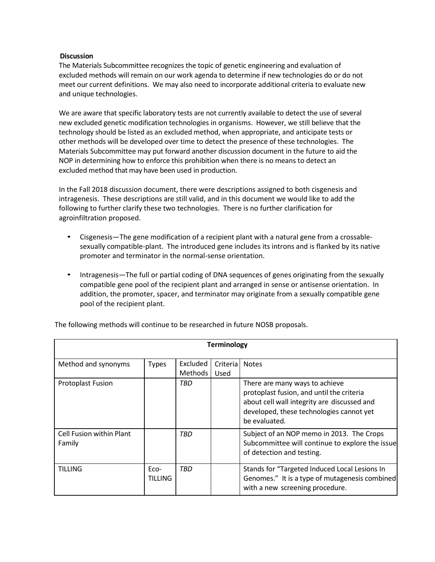#### **Discussion**

The Materials Subcommittee recognizes the topic of genetic engineering and evaluation of excluded methods will remain on our work agenda to determine if new technologies do or do not meet our current definitions. We may also need to incorporate additional criteria to evaluate new and unique technologies.

We are aware that specific laboratory tests are not currently available to detect the use of several new excluded genetic modification technologies in organisms. However, we still believe that the technology should be listed as an excluded method, when appropriate, and anticipate tests or other methods will be developed over time to detect the presence of these technologies. The Materials Subcommittee may put forward another discussion document in the future to aid the NOP in determining how to enforce this prohibition when there is no means to detect an excluded method that may have been used in production.

In the Fall 2018 discussion document, there were descriptions assigned to both cisgenesis and intragenesis. These descriptions are still valid, and in this document we would like to add the following to further clarify these two technologies. There is no further clarification for agroinfiltration proposed.

- Cisgenesis—The gene modification of a recipient plant with a natural gene from a crossablesexually compatible-plant. The introduced gene includes its introns and is flanked by its native promoter and terminator in the normal-sense orientation.
- Intragenesis—The full or partial coding of DNA sequences of genes originating from the sexually compatible gene pool of the recipient plant and arranged in sense or antisense orientation. In addition, the promoter, spacer, and terminator may originate from a sexually compatible gene pool of the recipient plant.

| <b>Terminology</b>                        |                        |                            |                  |                                                                                                                                                                                         |  |  |
|-------------------------------------------|------------------------|----------------------------|------------------|-----------------------------------------------------------------------------------------------------------------------------------------------------------------------------------------|--|--|
| Method and synonyms                       | <b>Types</b>           | Excluded<br><b>Methods</b> | Criteria<br>Used | <b>Notes</b>                                                                                                                                                                            |  |  |
| <b>Protoplast Fusion</b>                  |                        | TBD                        |                  | There are many ways to achieve<br>protoplast fusion, and until the criteria<br>about cell wall integrity are discussed and<br>developed, these technologies cannot yet<br>be evaluated. |  |  |
| <b>Cell Fusion within Plant</b><br>Family |                        | <b>TBD</b>                 |                  | Subject of an NOP memo in 2013. The Crops<br>Subcommittee will continue to explore the issue<br>of detection and testing.                                                               |  |  |
| <b>TILLING</b>                            | Eco-<br><b>TILLING</b> | <b>TBD</b>                 |                  | Stands for "Targeted Induced Local Lesions In<br>Genomes." It is a type of mutagenesis combined<br>with a new screening procedure.                                                      |  |  |

The following methods will continue to be researched in future NOSB proposals.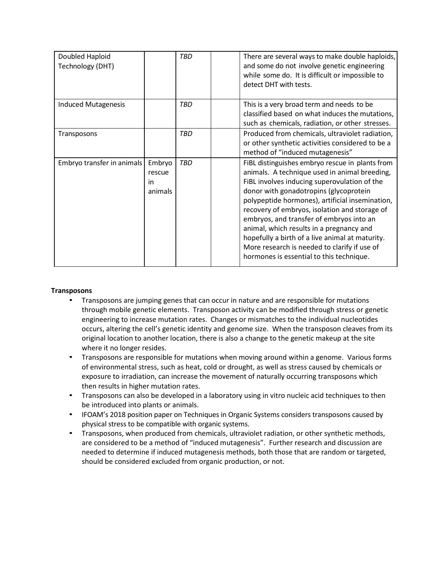| Doubled Haploid<br>Technology (DHT) |                                          | TBD        | There are several ways to make double haploids,<br>and some do not involve genetic engineering<br>while some do. It is difficult or impossible to<br>detect DHT with tests.                                                                                                                                                                                                                                                                                                                                                           |
|-------------------------------------|------------------------------------------|------------|---------------------------------------------------------------------------------------------------------------------------------------------------------------------------------------------------------------------------------------------------------------------------------------------------------------------------------------------------------------------------------------------------------------------------------------------------------------------------------------------------------------------------------------|
| <b>Induced Mutagenesis</b>          |                                          | <b>TBD</b> | This is a very broad term and needs to be<br>classified based on what induces the mutations,<br>such as chemicals, radiation, or other stresses.                                                                                                                                                                                                                                                                                                                                                                                      |
| Transposons                         |                                          | TBD        | Produced from chemicals, ultraviolet radiation,<br>or other synthetic activities considered to be a<br>method of "induced mutagenesis"                                                                                                                                                                                                                                                                                                                                                                                                |
| Embryo transfer in animals          | Embryo<br>rescue<br><i>in</i><br>animals | TBD        | FiBL distinguishes embryo rescue in plants from<br>animals. A technique used in animal breeding,<br>FiBL involves inducing superovulation of the<br>donor with gonadotropins (glycoprotein<br>polypeptide hormones), artificial insemination,<br>recovery of embryos, isolation and storage of<br>embryos, and transfer of embryos into an<br>animal, which results in a pregnancy and<br>hopefully a birth of a live animal at maturity.<br>More research is needed to clarify if use of<br>hormones is essential to this technique. |

#### **Transposons**

- Transposons are jumping genes that can occur in nature and are responsible for mutations through mobile genetic elements. Transposon activity can be modified through stress or genetic engineering to increase mutation rates. Changes or mismatches to the individual nucleotides occurs, altering the cell's genetic identity and genome size. When the transposon cleaves from its original location to another location, there is also a change to the genetic makeup at the site where it no longer resides.
- Transposons are responsible for mutations when moving around within a genome. Various forms of environmental stress, such as heat, cold or drought, as well as stress caused by chemicals or exposure to irradiation, can increase the movement of naturally occurring transposons which then results in higher mutation rates.
- Transposons can also be developed in a laboratory using in vitro nucleic acid techniques to then be introduced into plants or animals.
- IFOAM's 2018 position paper on Techniques in Organic Systems considers transposons caused by physical stress to be compatible with organic systems.
- Transposons, when produced from chemicals, ultraviolet radiation, or other synthetic methods, are considered to be a method of "induced mutagenesis". Further research and discussion are needed to determine if induced mutagenesis methods, both those that are random or targeted, should be considered excluded from organic production, or not.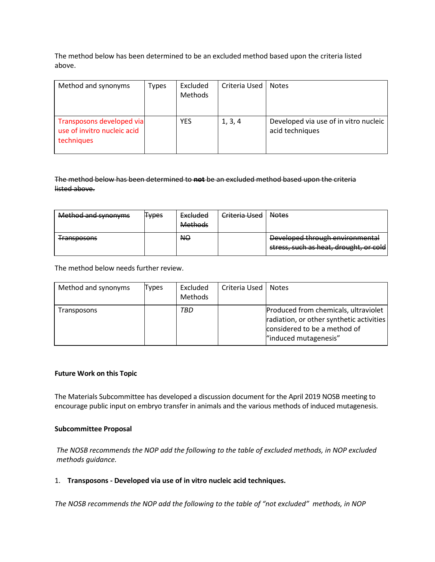The method below has been determined to be an excluded method based upon the criteria listed above.

| Method and synonyms                                                    | Types | Excluded<br><b>Methods</b> | Criteria Used | <b>Notes</b>                                             |
|------------------------------------------------------------------------|-------|----------------------------|---------------|----------------------------------------------------------|
| Transposons developed via<br>use of invitro nucleic acid<br>techniques |       | YES                        | 1, 3, 4       | Developed via use of in vitro nucleic<br>acid techniques |

#### The method below has been determined to **not** be an excluded method based upon the criteria listed above.

| Method and synonyms | <del>Types</del> | Excluded<br><b>Methods</b> | Criteria Used | <b>Notes</b>                                                              |
|---------------------|------------------|----------------------------|---------------|---------------------------------------------------------------------------|
| <b>Transposons</b>  |                  | <b>NO</b>                  |               | Developed through environmental<br>stress, such as heat, drought, or cold |

The method below needs further review.

| Method and synonyms | Types | Excluded<br>Methods | Criteria Used | <b>Notes</b>                                                                                                                              |
|---------------------|-------|---------------------|---------------|-------------------------------------------------------------------------------------------------------------------------------------------|
| Transposons         |       | TBD                 |               | Produced from chemicals, ultraviolet<br>radiation, or other synthetic activities<br>considered to be a method of<br>"induced mutagenesis" |

#### **Future Work on this Topic**

The Materials Subcommittee has developed a discussion document for the April 2019 NOSB meeting to encourage public input on embryo transfer in animals and the various methods of induced mutagenesis.

#### **Subcommittee Proposal**

*The NOSB recommends the NOP add the following to the table of excluded methods, in NOP excluded methods guidance.*

#### 1. **Transposons - Developed via use of in vitro nucleic acid techniques.**

*The NOSB recommends the NOP add the following to the table of "not excluded" methods, in NOP*